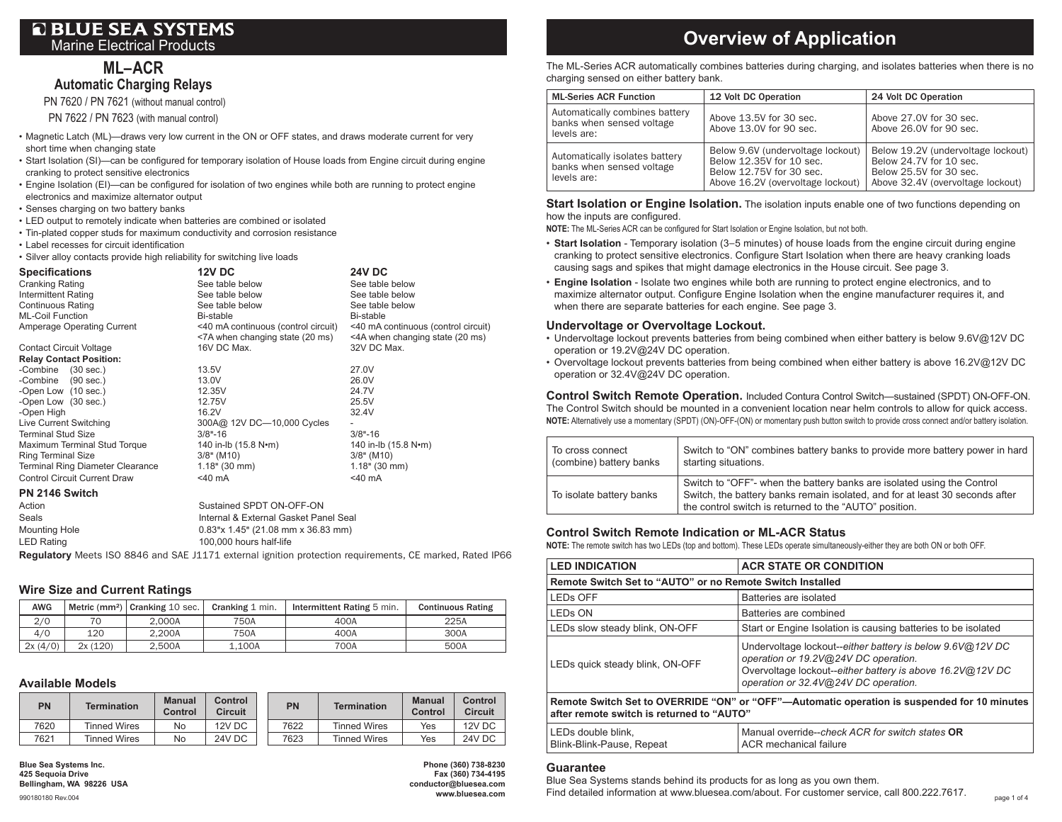### **ML– ACR Automatic Charging Relays**

PN 7620 / PN 7621 (without manual control)

PN 7622 / PN 7623 (with manual control)

- Magnetic Latch (ML)—draws very low current in the ON or OFF states, and draws moderate current for very short time when changing state
- Start Isolation (SI)—can be configured for temporary isolation of House loads from Engine circuit during engine cranking to protect sensitive electronics
- Engine Isolation (EI)—can be configured for isolation of two engines while both are running to protect engine electronics and maximize alternator output
- Senses charging on two battery banks
- LED output to remotely indicate when batteries are combined or isolated
- Tin-plated copper studs for maximum conductivity and corrosion resistance
- Label recesses for circuit identification

• Silver alloy contacts provide high reliability for switching live loads

| <b>Specifications</b>               | <b>12V DC</b>                                                          | <b>24V DC</b>                                                          |
|-------------------------------------|------------------------------------------------------------------------|------------------------------------------------------------------------|
| <b>Cranking Rating</b>              | See table below                                                        | See table below                                                        |
| Intermittent Rating                 | See table below                                                        | See table below                                                        |
| <b>Continuous Rating</b>            | See table below                                                        | See table below                                                        |
| <b>ML-Coil Function</b>             | Bi-stable                                                              | Bi-stable                                                              |
| Amperage Operating Current          | <40 mA continuous (control circuit)<br><7A when changing state (20 ms) | <40 mA continuous (control circuit)<br><4A when changing state (20 ms) |
| <b>Contact Circuit Voltage</b>      | 16V DC Max.                                                            | 32V DC Max.                                                            |
| <b>Relay Contact Position:</b>      |                                                                        |                                                                        |
| -Combine (30 sec.)                  | 13.5V                                                                  | 27.0V                                                                  |
| -Combine (90 sec.)                  | 13.0V                                                                  | 26.0V                                                                  |
| -Open Low (10 sec.)                 | 12.35V                                                                 | 24.7V                                                                  |
| -Open Low (30 sec.)                 | 12.75V                                                                 | 25.5V                                                                  |
| -Open High                          | 16.2V                                                                  | 32.4V                                                                  |
| Live Current Switching              | 300A@ 12V DC-10,000 Cycles                                             |                                                                        |
| <b>Terminal Stud Size</b>           | $3/8 - 16$                                                             | $3/8 - 16$                                                             |
| Maximum Terminal Stud Torque        | 140 in-lb (15.8 N•m)                                                   | 140 in-lb (15.8 N•m)                                                   |
| <b>Ring Terminal Size</b>           | $3/8"$ (M10)                                                           | $3/8"$ (M10)                                                           |
| Terminal Ring Diameter Clearance    | $1.18$ " (30 mm)                                                       | $1.18$ " (30 mm)                                                       |
| <b>Control Circuit Current Draw</b> | $<$ 40 mA                                                              | $<$ 40 mA                                                              |
| PN 2146 Switch                      |                                                                        |                                                                        |
| $A$ otion                           | <b>Custoined CDDT ON OFF ON</b>                                        |                                                                        |

| Action        | Sustained SPDT ON-OFF-ON              |
|---------------|---------------------------------------|
| Seals         | Internal & External Gasket Panel Seal |
| Mounting Hole | $0.83$ "x 1.45" (21.08 mm x 36.83 mm) |
| LED Rating    | 100,000 hours half-life               |
|               |                                       |

**Regulatory** Meets ISO 8846 and SAE J1171 external ignition protection requirements, CE marked, Rated IP66

### **Wire Size and Current Ratings**

| <b>AWG</b> |         | Metric (mm <sup>2</sup> ) $ $ Cranking 10 sec. | Cranking 1 min. | Intermittent Rating 5 min. | <b>Continuous Rating</b> |
|------------|---------|------------------------------------------------|-----------------|----------------------------|--------------------------|
| 2/0        | 70      | 2.000A                                         | 750A            | 400A                       | 225A                     |
| 4/0        | 120     | 2.200A                                         | 750A            | 400A                       | 300A                     |
| 2x(4/0)    | 2x(120) | 2.500A                                         | 1.100A          | 700A                       | 500A                     |

#### **Available Models**

| PN   | <b>Termination</b> | <b>Manual</b><br>Control | Control<br><b>Circuit</b> | <b>PN</b> | <b>Termination</b>  | <b>Manual</b><br>Control | Control<br><b>Circuit</b> |
|------|--------------------|--------------------------|---------------------------|-----------|---------------------|--------------------------|---------------------------|
| 7620 | Tinned Wires       | No                       | 12V DC                    | 7622      | <b>Tinned Wires</b> | Yes                      | 12V DC                    |
| 7621 | Tinned Wires       | No                       | 24V DC                    | 7623      | <b>Tinned Wires</b> | Yes                      | 24V DC                    |

 $\text{conductor@bluesea.com}$ **www.bluesea.com**

# Marine Electrical Products **Overview of Application**

The ML-Series ACR automatically combines batteries during charging, and isolates batteries when there is no charging sensed on either battery bank.

| <b>ML-Series ACR Function</b>                                              | 12 Volt DC Operation                                                                                                           | 24 Volt DC Operation                                                                                                          |  |
|----------------------------------------------------------------------------|--------------------------------------------------------------------------------------------------------------------------------|-------------------------------------------------------------------------------------------------------------------------------|--|
| Automatically combines battery<br>banks when sensed voltage<br>levels are: | Above 13.5V for 30 sec.<br>Above 13.0V for 90 sec.                                                                             | Above 27.0V for 30 sec.<br>Above 26.0V for 90 sec.                                                                            |  |
| Automatically isolates battery<br>banks when sensed voltage<br>levels are: | Below 9.6V (undervoltage lockout)<br>Below 12,35V for 10 sec.<br>Below 12,75V for 30 sec.<br>Above 16.2V (overvoltage lockout) | Below 19.2V (undervoltage lockout)<br>Below 24.7V for 10 sec.<br>Below 25.5V for 30 sec.<br>Above 32.4V (overvoltage lockout) |  |

#### **Start Isolation or Engine Isolation.** The isolation inputs enable one of two functions depending on how the inputs are configured.

**NOTE:** The ML-Series ACR can be configured for Start Isolation or Engine Isolation, but not both.

- **Start Isolation** Temporary isolation (3−5 minutes) of house loads from the engine circuit during engine cranking to protect sensitive electronics. Configure Start Isolation when there are heavy cranking loads causing sags and spikes that might damage electronics in the House circuit. See page 3.
- **Engine Isolation** Isolate two engines while both are running to protect engine electronics, and to maximize alternator output. Configure Engine Isolation when the engine manufacturer requires it, and when there are separate batteries for each engine. See page 3.

#### **Undervoltage or Overvoltage Lockout.**

- Undervoltage lockout prevents batteries from being combined when either battery is below 9.6V@12V DC operation or 19.2V@24V DC operation.
- Overvoltage lockout prevents batteries from being combined when either battery is above 16.2V@12V DC operation or 32.4V@24V DC operation.

**Control Switch Remote Operation.** Included Contura Control Switch—sustained (SPDT) ON-OFF-ON. The Control Switch should be mounted in a convenient location near helm controls to allow for quick access. **NOTE:** Alternatively use a momentary (SPDT) (ON)-OFF-(ON) or momentary push button switch to provide cross connect and/or battery isolation.

| To cross connect         | Switch to "ON" combines battery banks to provide more battery power in hard                                                                                                                                      |
|--------------------------|------------------------------------------------------------------------------------------------------------------------------------------------------------------------------------------------------------------|
| (combine) battery banks  | starting situations.                                                                                                                                                                                             |
| To isolate battery banks | Switch to "OFF"- when the battery banks are isolated using the Control<br>Switch, the battery banks remain isolated, and for at least 30 seconds after<br>the control switch is returned to the "AUTO" position. |

#### **Control Switch Remote Indication or ML-ACR Status**

**NOTE:** The remote switch has two LEDs (top and bottom). These LEDs operate simultaneously-either they are both ON or both OFF.

| <b>LED INDICATION</b>                                                                                                                    | <b>ACR STATE OR CONDITION</b>                                                                                                                                                                          |  |  |
|------------------------------------------------------------------------------------------------------------------------------------------|--------------------------------------------------------------------------------------------------------------------------------------------------------------------------------------------------------|--|--|
| Remote Switch Set to "AUTO" or no Remote Switch Installed                                                                                |                                                                                                                                                                                                        |  |  |
| <b>LEDS OFF</b>                                                                                                                          | Batteries are isolated                                                                                                                                                                                 |  |  |
| LED <sub>s</sub> ON                                                                                                                      | Batteries are combined                                                                                                                                                                                 |  |  |
| LEDs slow steady blink, ON-OFF                                                                                                           | Start or Engine Isolation is causing batteries to be isolated                                                                                                                                          |  |  |
| LEDs quick steady blink, ON-OFF                                                                                                          | Undervoltage lockout--either battery is below 9.6V@12V DC<br>operation or 19.2V@24V DC operation.<br>Overvoltage lockout--either battery is above 16.2V@12V DC<br>operation or 32.4V@24V DC operation. |  |  |
| Remote Switch Set to OVERRIDE "ON" or "OFF"-Automatic operation is suspended for 10 minutes<br>after remote switch is returned to "AUTO" |                                                                                                                                                                                                        |  |  |
| LEDs double blink.<br>Blink-Blink-Pause, Repeat                                                                                          | Manual override--check ACR for switch states OR<br>ACR mechanical failure                                                                                                                              |  |  |

#### **Guarantee**

Blue Sea Systems stands behind its products for as long as you own them.

Find detailed information at www.bluesea.com/about. For customer service, call 800.222.7617.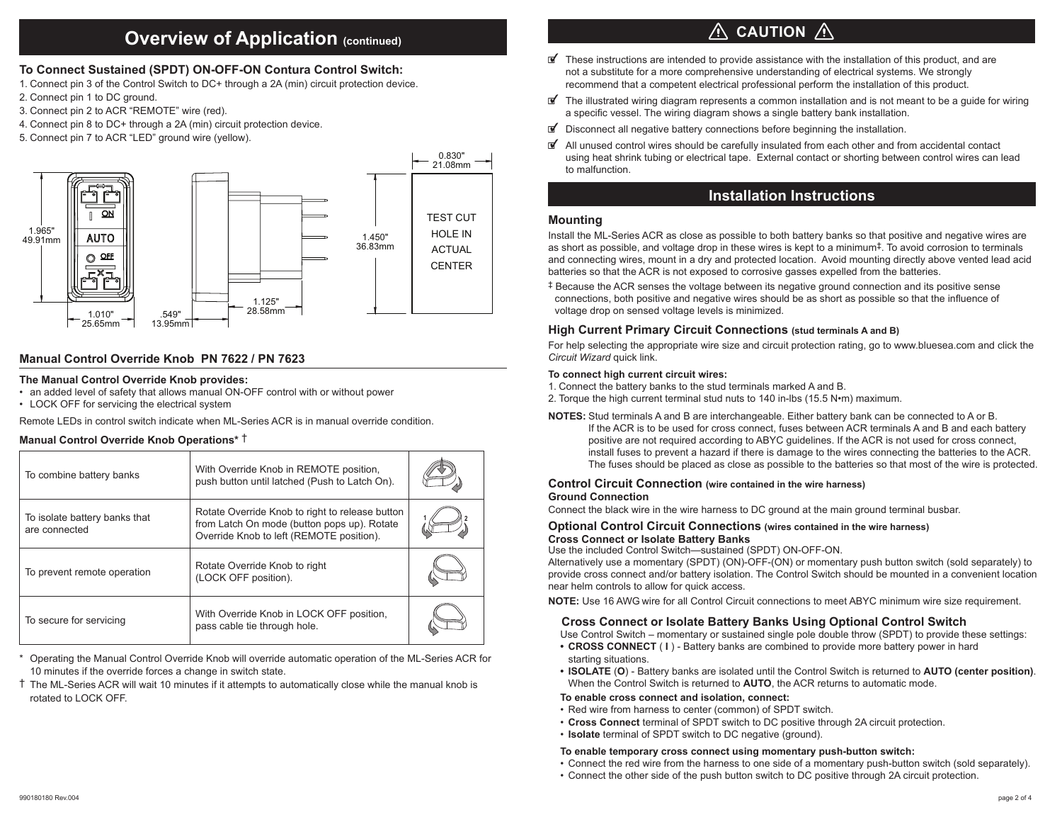### **Overview of Application (continued)**

#### **To Connect Sustained (SPDT) ON-OFF-ON Contura Control Switch:**

- 1. Connect pin 3 of the Control Switch to DC+ through a 2A (min) circuit protection device.
- 2. Connect pin 1 to DC ground.
- 3. Connect pin 2 to ACR "REMOTE" wire (red).
- 4. Connect pin 8 to DC+ through a 2A (min) circuit protection device.
- 5. Connect pin 7 to ACR "LED" ground wire (yellow).



#### **Manual Control Override Knob PN 7622 / PN 7623**

#### **The Manual Control Override Knob provides:**

- an added level of safety that allows manual ON-OFF control with or without power
- LOCK OFF for servicing the electrical system

Remote LEDs in control switch indicate when ML-Series ACR is in manual override condition.

#### **Manual Control Override Knob Operations\*** †

| To combine battery banks                       | With Override Knob in REMOTE position,<br>push button until latched (Push to Latch On).                                                    |  |
|------------------------------------------------|--------------------------------------------------------------------------------------------------------------------------------------------|--|
| To isolate battery banks that<br>are connected | Rotate Override Knob to right to release button<br>from Latch On mode (button pops up). Rotate<br>Override Knob to left (REMOTE position). |  |
| To prevent remote operation                    | Rotate Override Knob to right<br>(LOCK OFF position).                                                                                      |  |
| To secure for servicing                        | With Override Knob in LOCK OFF position,<br>pass cable tie through hole.                                                                   |  |

\* Operating the Manual Control Override Knob will override automatic operation of the ML-Series ACR for 10 minutes if the override forces a change in switch state.

† The ML-Series ACR will wait 10 minutes if it attempts to automatically close while the manual knob is rotated to LOCK OFF.

## $\wedge$  caution  $\wedge$

- $\mathbb{F}$  These instructions are intended to provide assistance with the installation of this product, and are not a substitute for a more comprehensive understanding of electrical systems. We strongly recommend that a competent electrical professional perform the installation of this product.
- $\mathbb{F}$  The illustrated wiring diagram represents a common installation and is not meant to be a quide for wiring a specific vessel. The wiring diagram shows a single battery bank installation.
- $\blacksquare$  Disconnect all negative battery connections before beginning the installation.
- $\mathbb{F}$  All unused control wires should be carefully insulated from each other and from accidental contact using heat shrink tubing or electrical tape. External contact or shorting between control wires can lead to malfunction.

### **Installation Instructions**

#### **Mounting**

Install the ML-Series ACR as close as possible to both battery banks so that positive and negative wires are as short as possible, and voltage drop in these wires is kept to a minimum‡. To avoid corrosion to terminals and connecting wires, mount in a dry and protected location. Avoid mounting directly above vented lead acid batteries so that the ACR is not exposed to corrosive gasses expelled from the batteries.

‡ Because the ACR senses the voltage between its negative ground connection and its positive sense connections, both positive and negative wires should be as short as possible so that the influence of voltage drop on sensed voltage levels is minimized.

#### **High Current Primary Circuit Connections (stud terminals A and B)**

For help selecting the appropriate wire size and circuit protection rating, go to www.bluesea.com and click the *Circuit Wizard* quick link.

#### **To connect high current circuit wires:**

- 1. Connect the battery banks to the stud terminals marked A and B.
- 2. Torque the high current terminal stud nuts to 140 in-lbs (15.5 N•m) maximum.
- **NOTES:** Stud terminals A and B are interchangeable. Either battery bank can be connected to A or B. If the ACR is to be used for cross connect, fuses between ACR terminals A and B and each battery positive are not required according to ABYC guidelines. If the ACR is not used for cross connect, install fuses to prevent a hazard if there is damage to the wires connecting the batteries to the ACR. The fuses should be placed as close as possible to the batteries so that most of the wire is protected.

#### **Control Circuit Connection (wire contained in the wire harness)**

#### **Ground Connection**

Connect the black wire in the wire harness to DC ground at the main ground terminal busbar.

#### **Optional Control Circuit Connections (wires contained in the wire harness) Cross Connect or Isolate Battery Banks**

Use the included Control Switch—sustained (SPDT) ON-OFF-ON.

Alternatively use a momentary (SPDT) (ON)-OFF-(ON) or momentary push button switch (sold separately) to provide cross connect and/or battery isolation. The Control Switch should be mounted in a convenient location near helm controls to allow for quick access.

**NOTE:** Use 16 AWG wire for all Control Circuit connections to meet ABYC minimum wire size requirement.

#### **Cross Connect or Isolate Battery Banks Using Optional Control Switch**

Use Control Switch – momentary or sustained single pole double throw (SPDT) to provide these settings:

- **CROSS CONNECT** ( **I**) Battery banks are combined to provide more battery power in hard starting situations.
- **• ISOLATE** (**O**) Battery banks are isolated until the Control Switch is returned to **AUTO (center position)**. When the Control Switch is returned to **AUTO**, the ACR returns to automatic mode.

#### **To enable cross connect and isolation, connect:**

- Red wire from harness to center (common) of SPDT switch.
- **Cross Connect** terminal of SPDT switch to DC positive through 2A circuit protection.
- **Isolate** terminal of SPDT switch to DC negative (ground).

#### **To enable temporary cross connect using momentary push-button switch:**

- Connect the red wire from the harness to one side of a momentary push-button switch (sold separately).
- Connect the other side of the push button switch to DC positive through 2A circuit protection.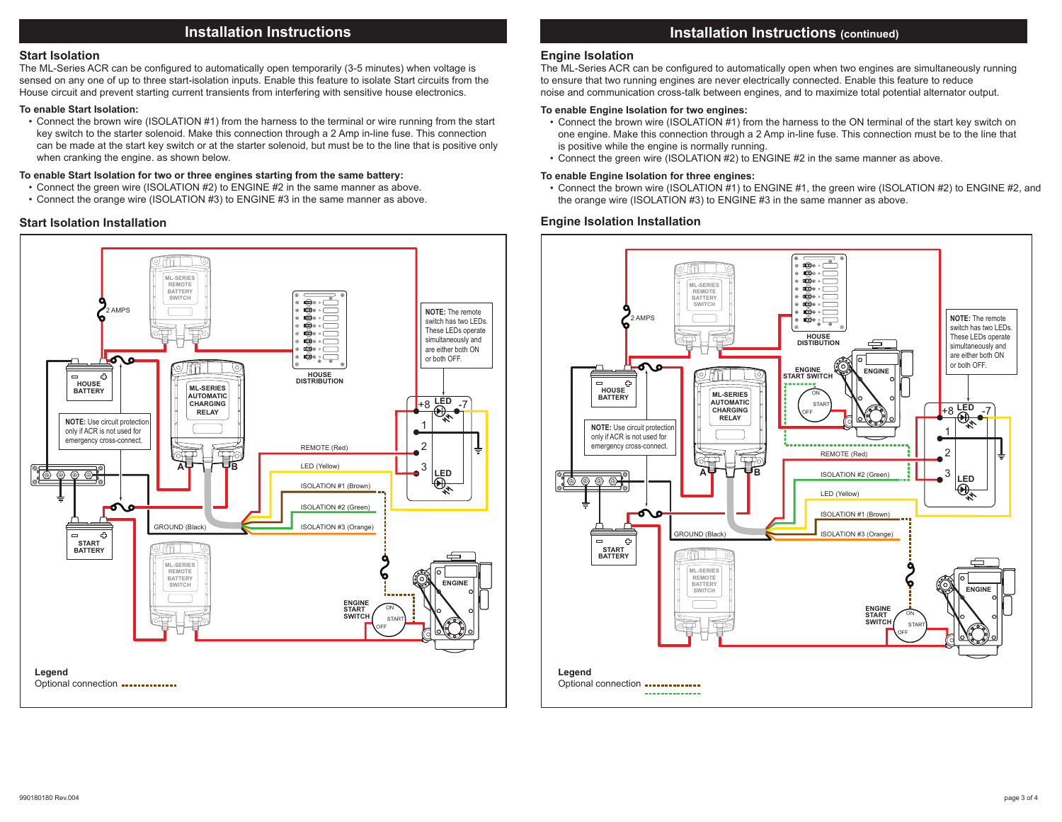### **Installation Instructions**

#### **Start Isolation**

The ML-Series ACR can be configured to automatically open temporarily (3-5 minutes) when voltage is sensed on any one of up to three start-isolation inputs. Enable this feature to isolate Start circuits from the House circuit and prevent starting current transients from interfering with sensitive house electronics.

#### **To enable Start Isolation:**

• Connect the brown wire (ISOLATION #1) from the harness to the terminal or wire running from the start key switch to the starter solenoid. Make this connection through a 2 Amp in-line fuse. This connection can be made at the start key switch or at the starter solenoid, but must be to the line that is positive only when cranking the engine. as shown below.

#### **To enable Start Isolation for two or three engines starting from the same battery:**

- Connect the green wire (ISOLATION #2) to ENGINE #2 in the same manner as above.
- Connect the orange wire (ISOLATION #3) to ENGINE #3 in the same manner as above.

#### **Start Isolation Installation**



### **Installation Instructions (continued)**

#### **Engine Isolation**

The ML-Series ACR can be configured to automatically open when two engines are simultaneously running to ensure that two running engines are never electrically connected. Enable this feature to reduce noise and communication cross-talk between engines, and to maximize total potential alternator output.

#### **To enable Engine Isolation for two engines:**

- Connect the brown wire (ISOLATION #1) from the harness to the ON terminal of the start key switch on one engine. Make this connection through a 2 Amp in-line fuse. This connection must be to the line that is positive while the engine is normally running.
- Connect the green wire (ISOLATION #2) to ENGINE #2 in the same manner as above.

#### **To enable Engine Isolation for three engines:**

• Connect the brown wire (ISOLATION #1) to ENGINE #1, the green wire (ISOLATION #2) to ENGINE #2, and the orange wire (ISOLATION #3) to ENGINE #3 in the same manner as above.

#### **Engine Isolation Installation**